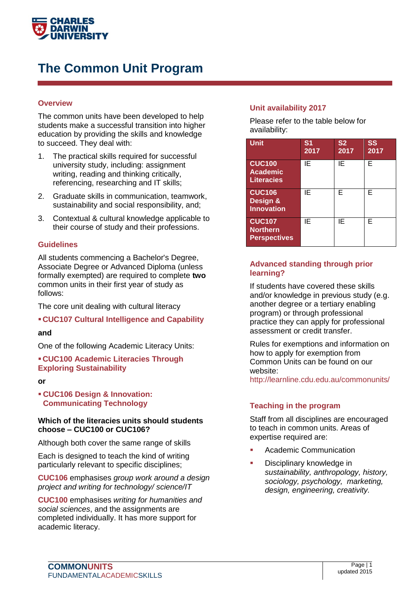

# **The Common Unit Program**

## **Overview**

The common units have been developed to help students make a successful transition into higher education by providing the skills and knowledge to succeed. They deal with:

- 1. The practical skills required for successful university study, including: assignment writing, reading and thinking critically, referencing, researching and IT skills;
- 2. Graduate skills in communication, teamwork, sustainability and social responsibility, and;
- 3. Contextual & cultural knowledge applicable to their course of study and their professions.

### **Guidelines**

All students commencing a Bachelor's Degree, Associate Degree or Advanced Diploma (unless formally exempted) are required to complete **two**  common units in their first year of study as follows:

The core unit dealing with cultural literacy

### **CUC107 Cultural Intelligence and Capability**

#### **and**

One of the following Academic Literacy Units:

## **CUC100 Academic Literacies Through Exploring Sustainability**

**or**

 **CUC106 Design & Innovation: Communicating Technology**

#### **Which of the literacies units should students choose – CUC100 or CUC106?**

Although both cover the same range of skills

Each is designed to teach the kind of writing particularly relevant to specific disciplines;

**CUC106** emphasises *group work around a design project and writing for technology/ science/IT*

**CUC100** emphasises *writing for humanities and social sciences*, and the assignments are completed individually. It has more support for academic literacy.

## **Unit availability 2017**

Please refer to the table below for availability:

| <b>Unit</b>                                             | S <sub>1</sub><br>2017 | S <sub>2</sub><br>2017 | SS<br>2017 |
|---------------------------------------------------------|------------------------|------------------------|------------|
| <b>CUC100</b><br>Academic<br><b>Literacies</b>          | ΙE                     | ΙE                     | F          |
| <b>CUC106</b><br>Design &<br><b>Innovation</b>          | ΙE                     | F                      | F          |
| <b>CUC107</b><br><b>Northern</b><br><b>Perspectives</b> | ΙE                     | ΙE                     | F          |

### **Advanced standing through prior learning?**

If students have covered these skills and/or knowledge in previous study (e.g. another degree or a tertiary enabling program) or through professional practice they can apply for professional assessment or credit transfer.

Rules for exemptions and information on how to apply for exemption from Common Units can be found on our website:

http://learnline.cdu.edu.au/commonunits/

### **Teaching in the program**

Staff from all disciplines are encouraged to teach in common units. Areas of expertise required are:

- Academic Communication
- Disciplinary knowledge in *sustainability, anthropology, history, sociology, psychology, marketing, design, engineering, creativity.*